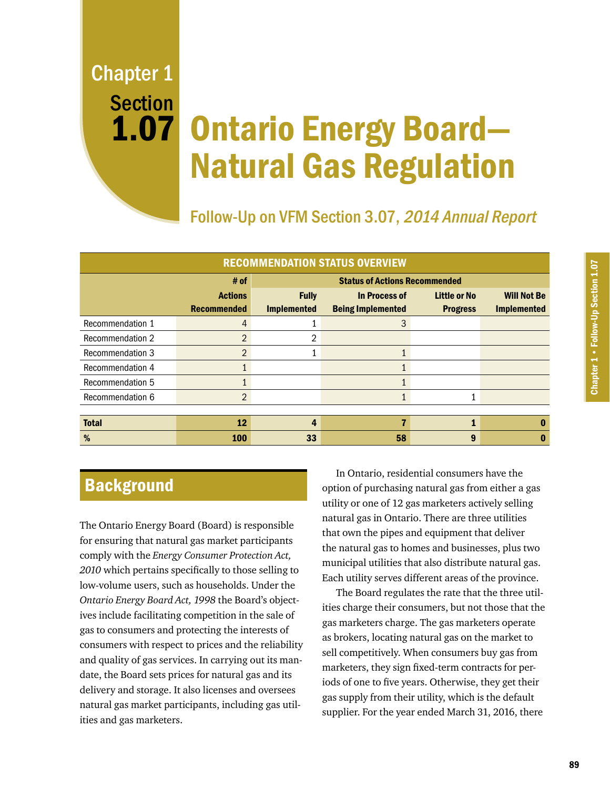Chapter 1 Section 1.07

# Ontario Energy Board— Natural Gas Regulation

Follow-Up on VFM Section 3.07, 2014 Annual Report

| <b>RECOMMENDATION STATUS OVERVIEW</b> |                    |                                      |                          |                     |                    |
|---------------------------------------|--------------------|--------------------------------------|--------------------------|---------------------|--------------------|
|                                       | # of               | <b>Status of Actions Recommended</b> |                          |                     |                    |
|                                       | <b>Actions</b>     | <b>Fully</b>                         | In Process of            | <b>Little or No</b> | <b>Will Not Be</b> |
|                                       | <b>Recommended</b> | <b>Implemented</b>                   | <b>Being Implemented</b> | <b>Progress</b>     | <b>Implemented</b> |
| Recommendation 1                      | 4                  |                                      | 3                        |                     |                    |
| <b>Recommendation 2</b>               | $\overline{2}$     | 2                                    |                          |                     |                    |
| <b>Recommendation 3</b>               | 2                  |                                      |                          |                     |                    |
| Recommendation 4                      |                    |                                      |                          |                     |                    |
| Recommendation 5                      |                    |                                      |                          |                     |                    |
| Recommendation 6                      | 2                  |                                      |                          |                     |                    |
|                                       |                    |                                      |                          |                     |                    |
| <b>Total</b>                          | 12                 | 4                                    |                          |                     |                    |
| %                                     | 100                | 33                                   | 58                       | 9                   |                    |

# **Background**

The Ontario Energy Board (Board) is responsible for ensuring that natural gas market participants comply with the *Energy Consumer Protection Act, 2010* which pertains specifically to those selling to low-volume users, such as households. Under the *Ontario Energy Board Act, 1998* the Board's objectives include facilitating competition in the sale of gas to consumers and protecting the interests of consumers with respect to prices and the reliability and quality of gas services. In carrying out its mandate, the Board sets prices for natural gas and its delivery and storage. It also licenses and oversees natural gas market participants, including gas utilities and gas marketers.

In Ontario, residential consumers have the option of purchasing natural gas from either a gas utility or one of 12 gas marketers actively selling natural gas in Ontario. There are three utilities that own the pipes and equipment that deliver the natural gas to homes and businesses, plus two municipal utilities that also distribute natural gas. Each utility serves different areas of the province.

The Board regulates the rate that the three utilities charge their consumers, but not those that the gas marketers charge. The gas marketers operate as brokers, locating natural gas on the market to sell competitively. When consumers buy gas from marketers, they sign fixed-term contracts for periods of one to five years. Otherwise, they get their gas supply from their utility, which is the default supplier. For the year ended March 31, 2016, there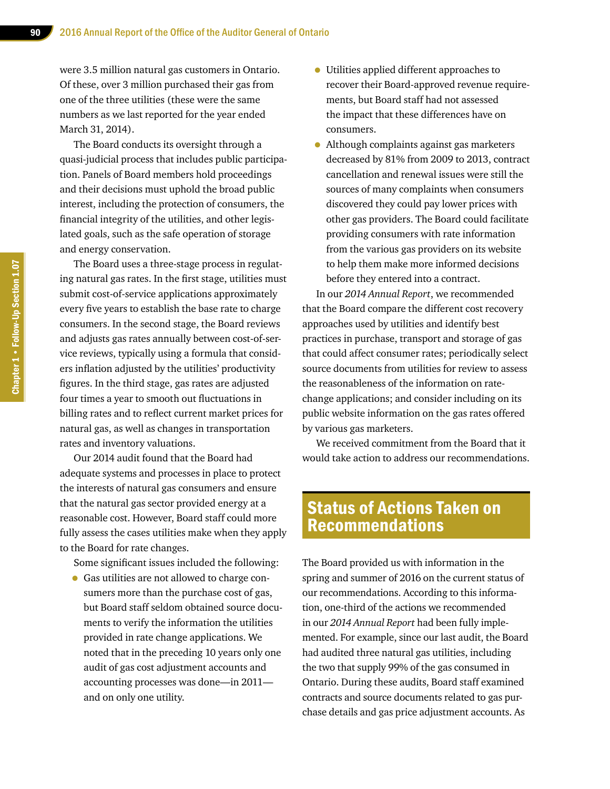were 3.5 million natural gas customers in Ontario. Of these, over 3 million purchased their gas from one of the three utilities (these were the same numbers as we last reported for the year ended March 31, 2014).

The Board conducts its oversight through a quasi-judicial process that includes public participation. Panels of Board members hold proceedings and their decisions must uphold the broad public interest, including the protection of consumers, the financial integrity of the utilities, and other legislated goals, such as the safe operation of storage and energy conservation.

The Board uses a three-stage process in regulating natural gas rates. In the first stage, utilities must submit cost-of-service applications approximately every five years to establish the base rate to charge consumers. In the second stage, the Board reviews and adjusts gas rates annually between cost-of-service reviews, typically using a formula that considers inflation adjusted by the utilities' productivity figures. In the third stage, gas rates are adjusted four times a year to smooth out fluctuations in billing rates and to reflect current market prices for natural gas, as well as changes in transportation rates and inventory valuations.

Our 2014 audit found that the Board had adequate systems and processes in place to protect the interests of natural gas consumers and ensure that the natural gas sector provided energy at a reasonable cost. However, Board staff could more fully assess the cases utilities make when they apply to the Board for rate changes.

Some significant issues included the following:

• Gas utilities are not allowed to charge consumers more than the purchase cost of gas, but Board staff seldom obtained source documents to verify the information the utilities provided in rate change applications. We noted that in the preceding 10 years only one audit of gas cost adjustment accounts and accounting processes was done—in 2011 and on only one utility.

- Utilities applied different approaches to recover their Board-approved revenue requirements, but Board staff had not assessed the impact that these differences have on consumers.
- Although complaints against gas marketers decreased by 81% from 2009 to 2013, contract cancellation and renewal issues were still the sources of many complaints when consumers discovered they could pay lower prices with other gas providers. The Board could facilitate providing consumers with rate information from the various gas providers on its website to help them make more informed decisions before they entered into a contract.

In our *2014 Annual Report*, we recommended that the Board compare the different cost recovery approaches used by utilities and identify best practices in purchase, transport and storage of gas that could affect consumer rates; periodically select source documents from utilities for review to assess the reasonableness of the information on ratechange applications; and consider including on its public website information on the gas rates offered by various gas marketers.

We received commitment from the Board that it would take action to address our recommendations.

# Status of Actions Taken on Recommendations

The Board provided us with information in the spring and summer of 2016 on the current status of our recommendations. According to this information, one-third of the actions we recommended in our *2014 Annual Report* had been fully implemented. For example, since our last audit, the Board had audited three natural gas utilities, including the two that supply 99% of the gas consumed in Ontario. During these audits, Board staff examined contracts and source documents related to gas purchase details and gas price adjustment accounts. As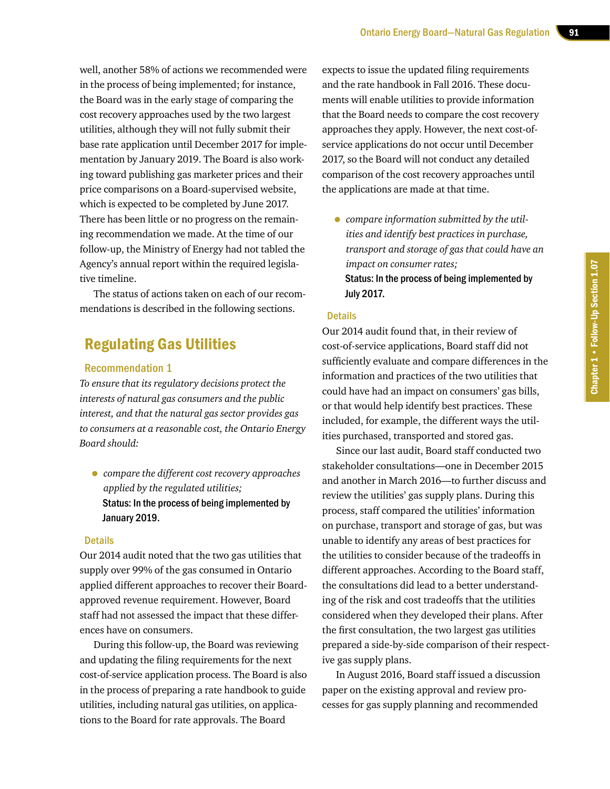well, another 58% of actions we recommended were in the process of being implemented; for instance, the Board was in the early stage of comparing the cost recovery approaches used by the two largest utilities, although they will not fully submit their base rate application until December 2017 for implementation by January 2019. The Board is also working toward publishing gas marketer prices and their price comparisons on a Board-supervised website, which is expected to be completed by June 2017. There has been little or no progress on the remaining recommendation we made. At the time of our follow-up, the Ministry of Energy had not tabled the Agency's annual report within the required legislative timeline.

The status of actions taken on each of our recommendations is described in the following sections.

## Regulating Gas Utilities

#### Recommendation 1

*To ensure that its regulatory decisions protect the interests of natural gas consumers and the public interest, and that the natural gas sector provides gas to consumers at a reasonable cost, the Ontario Energy Board should:*

• *compare the different cost recovery approaches applied by the regulated utilities;*  Status: In the process of being implemented by January 2019.

#### **Details**

Our 2014 audit noted that the two gas utilities that supply over 99% of the gas consumed in Ontario applied different approaches to recover their Boardapproved revenue requirement. However, Board staff had not assessed the impact that these differences have on consumers.

During this follow-up, the Board was reviewing and updating the filing requirements for the next cost-of-service application process. The Board is also in the process of preparing a rate handbook to guide utilities, including natural gas utilities, on applications to the Board for rate approvals. The Board

expects to issue the updated filing requirements and the rate handbook in Fall 2016. These documents will enable utilities to provide information that the Board needs to compare the cost recovery approaches they apply. However, the next cost-ofservice applications do not occur until December 2017, so the Board will not conduct any detailed comparison of the cost recovery approaches until the applications are made at that time.

• *compare information submitted by the utilities and identify best practices in purchase, transport and storage of gas that could have an impact on consumer rates;* Status: In the process of being implemented by July 2017.

#### **Details**

Our 2014 audit found that, in their review of cost-of-service applications, Board staff did not sufficiently evaluate and compare differences in the information and practices of the two utilities that could have had an impact on consumers' gas bills, or that would help identify best practices. These included, for example, the different ways the utilities purchased, transported and stored gas.

Since our last audit, Board staff conducted two stakeholder consultations—one in December 2015 and another in March 2016—to further discuss and review the utilities' gas supply plans. During this process, staff compared the utilities' information on purchase, transport and storage of gas, but was unable to identify any areas of best practices for the utilities to consider because of the tradeoffs in different approaches. According to the Board staff, the consultations did lead to a better understanding of the risk and cost tradeoffs that the utilities considered when they developed their plans. After the first consultation, the two largest gas utilities prepared a side-by-side comparison of their respective gas supply plans.

In August 2016, Board staff issued a discussion paper on the existing approval and review processes for gas supply planning and recommended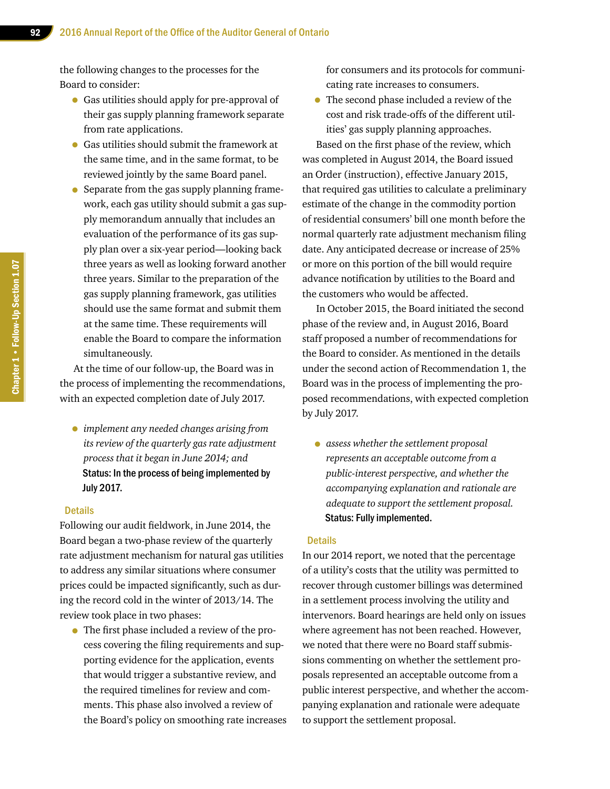the following changes to the processes for the Board to consider:

- Gas utilities should apply for pre-approval of their gas supply planning framework separate from rate applications.
- Gas utilities should submit the framework at the same time, and in the same format, to be reviewed jointly by the same Board panel.
- Separate from the gas supply planning framework, each gas utility should submit a gas supply memorandum annually that includes an evaluation of the performance of its gas supply plan over a six-year period—looking back three years as well as looking forward another three years. Similar to the preparation of the gas supply planning framework, gas utilities should use the same format and submit them at the same time. These requirements will enable the Board to compare the information simultaneously.

At the time of our follow-up, the Board was in the process of implementing the recommendations, with an expected completion date of July 2017.

• *implement any needed changes arising from its review of the quarterly gas rate adjustment process that it began in June 2014; and* Status: In the process of being implemented by July 2017.

#### **Details**

Following our audit fieldwork, in June 2014, the Board began a two-phase review of the quarterly rate adjustment mechanism for natural gas utilities to address any similar situations where consumer prices could be impacted significantly, such as during the record cold in the winter of 2013/14. The review took place in two phases:

• The first phase included a review of the process covering the filing requirements and supporting evidence for the application, events that would trigger a substantive review, and the required timelines for review and comments. This phase also involved a review of the Board's policy on smoothing rate increases for consumers and its protocols for communicating rate increases to consumers.

• The second phase included a review of the cost and risk trade-offs of the different utilities' gas supply planning approaches.

Based on the first phase of the review, which was completed in August 2014, the Board issued an Order (instruction), effective January 2015, that required gas utilities to calculate a preliminary estimate of the change in the commodity portion of residential consumers' bill one month before the normal quarterly rate adjustment mechanism filing date. Any anticipated decrease or increase of 25% or more on this portion of the bill would require advance notification by utilities to the Board and the customers who would be affected.

In October 2015, the Board initiated the second phase of the review and, in August 2016, Board staff proposed a number of recommendations for the Board to consider. As mentioned in the details under the second action of Recommendation 1, the Board was in the process of implementing the proposed recommendations, with expected completion by July 2017.

• *assess whether the settlement proposal represents an acceptable outcome from a public-interest perspective, and whether the accompanying explanation and rationale are adequate to support the settlement proposal.* Status: Fully implemented.

#### **Details**

In our 2014 report, we noted that the percentage of a utility's costs that the utility was permitted to recover through customer billings was determined in a settlement process involving the utility and intervenors. Board hearings are held only on issues where agreement has not been reached. However, we noted that there were no Board staff submissions commenting on whether the settlement proposals represented an acceptable outcome from a public interest perspective, and whether the accompanying explanation and rationale were adequate to support the settlement proposal.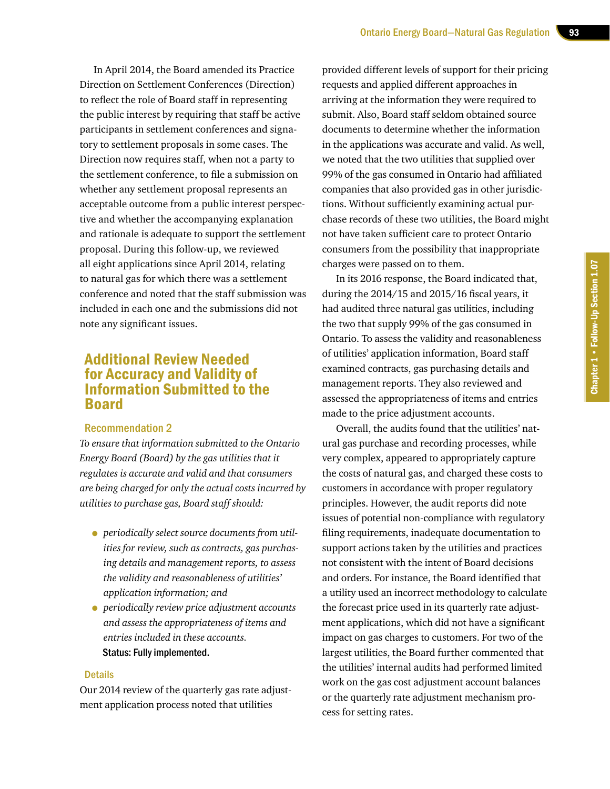In April 2014, the Board amended its Practice Direction on Settlement Conferences (Direction) to reflect the role of Board staff in representing the public interest by requiring that staff be active participants in settlement conferences and signatory to settlement proposals in some cases. The Direction now requires staff, when not a party to the settlement conference, to file a submission on whether any settlement proposal represents an acceptable outcome from a public interest perspective and whether the accompanying explanation and rationale is adequate to support the settlement proposal. During this follow-up, we reviewed all eight applications since April 2014, relating to natural gas for which there was a settlement conference and noted that the staff submission was included in each one and the submissions did not note any significant issues.

## Additional Review Needed for Accuracy and Validity of Information Submitted to the Board

#### Recommendation 2

*To ensure that information submitted to the Ontario Energy Board (Board) by the gas utilities that it regulates is accurate and valid and that consumers are being charged for only the actual costs incurred by utilities to purchase gas, Board staff should:*

- *periodically select source documents from utilities for review, such as contracts, gas purchasing details and management reports, to assess the validity and reasonableness of utilities' application information; and*
- *periodically review price adjustment accounts and assess the appropriateness of items and entries included in these accounts.* Status: Fully implemented.

#### **Details**

Our 2014 review of the quarterly gas rate adjustment application process noted that utilities

provided different levels of support for their pricing requests and applied different approaches in arriving at the information they were required to submit. Also, Board staff seldom obtained source documents to determine whether the information in the applications was accurate and valid. As well, we noted that the two utilities that supplied over 99% of the gas consumed in Ontario had affiliated companies that also provided gas in other jurisdictions. Without sufficiently examining actual purchase records of these two utilities, the Board might not have taken sufficient care to protect Ontario consumers from the possibility that inappropriate charges were passed on to them.

In its 2016 response, the Board indicated that, during the 2014/15 and 2015/16 fiscal years, it had audited three natural gas utilities, including the two that supply 99% of the gas consumed in Ontario. To assess the validity and reasonableness of utilities' application information, Board staff examined contracts, gas purchasing details and management reports. They also reviewed and assessed the appropriateness of items and entries made to the price adjustment accounts.

Overall, the audits found that the utilities' natural gas purchase and recording processes, while very complex, appeared to appropriately capture the costs of natural gas, and charged these costs to customers in accordance with proper regulatory principles. However, the audit reports did note issues of potential non-compliance with regulatory filing requirements, inadequate documentation to support actions taken by the utilities and practices not consistent with the intent of Board decisions and orders. For instance, the Board identified that a utility used an incorrect methodology to calculate the forecast price used in its quarterly rate adjustment applications, which did not have a significant impact on gas charges to customers. For two of the largest utilities, the Board further commented that the utilities' internal audits had performed limited work on the gas cost adjustment account balances or the quarterly rate adjustment mechanism process for setting rates.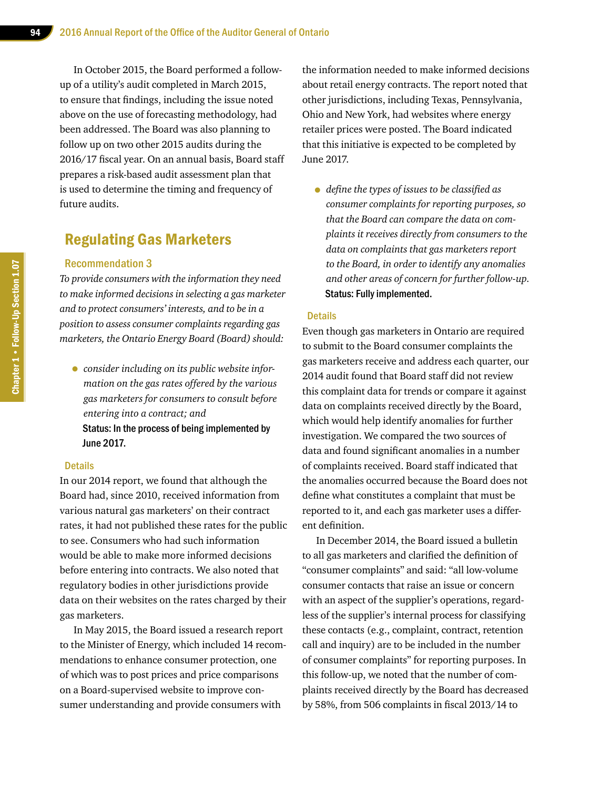In October 2015, the Board performed a followup of a utility's audit completed in March 2015, to ensure that findings, including the issue noted above on the use of forecasting methodology, had been addressed. The Board was also planning to follow up on two other 2015 audits during the 2016/17 fiscal year. On an annual basis, Board staff prepares a risk-based audit assessment plan that is used to determine the timing and frequency of future audits.

## Regulating Gas Marketers

#### Recommendation 3

*To provide consumers with the information they need to make informed decisions in selecting a gas marketer and to protect consumers' interests, and to be in a position to assess consumer complaints regarding gas marketers, the Ontario Energy Board (Board) should:*

• *consider including on its public website information on the gas rates offered by the various gas marketers for consumers to consult before entering into a contract; and* Status: In the process of being implemented by June 2017.

#### **Details**

In our 2014 report, we found that although the Board had, since 2010, received information from various natural gas marketers' on their contract rates, it had not published these rates for the public to see. Consumers who had such information would be able to make more informed decisions before entering into contracts. We also noted that regulatory bodies in other jurisdictions provide data on their websites on the rates charged by their gas marketers.

In May 2015, the Board issued a research report to the Minister of Energy, which included 14 recommendations to enhance consumer protection, one of which was to post prices and price comparisons on a Board-supervised website to improve consumer understanding and provide consumers with

the information needed to make informed decisions about retail energy contracts. The report noted that other jurisdictions, including Texas, Pennsylvania, Ohio and New York, had websites where energy retailer prices were posted. The Board indicated that this initiative is expected to be completed by June 2017.

• *define the types of issues to be classified as consumer complaints for reporting purposes, so that the Board can compare the data on complaints it receives directly from consumers to the data on complaints that gas marketers report to the Board, in order to identify any anomalies and other areas of concern for further follow-up.*  Status: Fully implemented.

#### **Details**

Even though gas marketers in Ontario are required to submit to the Board consumer complaints the gas marketers receive and address each quarter, our 2014 audit found that Board staff did not review this complaint data for trends or compare it against data on complaints received directly by the Board, which would help identify anomalies for further investigation. We compared the two sources of data and found significant anomalies in a number of complaints received. Board staff indicated that the anomalies occurred because the Board does not define what constitutes a complaint that must be reported to it, and each gas marketer uses a different definition.

In December 2014, the Board issued a bulletin to all gas marketers and clarified the definition of "consumer complaints" and said: "all low-volume consumer contacts that raise an issue or concern with an aspect of the supplier's operations, regardless of the supplier's internal process for classifying these contacts (e.g., complaint, contract, retention call and inquiry) are to be included in the number of consumer complaints" for reporting purposes. In this follow-up, we noted that the number of complaints received directly by the Board has decreased by 58%, from 506 complaints in fiscal 2013/14 to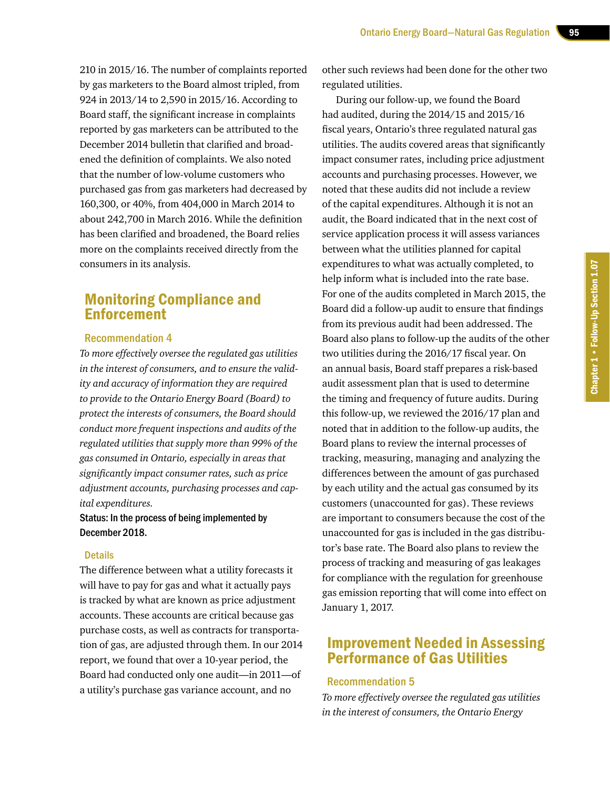210 in 2015/16. The number of complaints reported by gas marketers to the Board almost tripled, from 924 in 2013/14 to 2,590 in 2015/16. According to Board staff, the significant increase in complaints reported by gas marketers can be attributed to the December 2014 bulletin that clarified and broadened the definition of complaints. We also noted that the number of low-volume customers who purchased gas from gas marketers had decreased by 160,300, or 40%, from 404,000 in March 2014 to about 242,700 in March 2016. While the definition has been clarified and broadened, the Board relies more on the complaints received directly from the consumers in its analysis.

## Monitoring Compliance and **Enforcement**

#### Recommendation 4

*To more effectively oversee the regulated gas utilities in the interest of consumers, and to ensure the validity and accuracy of information they are required to provide to the Ontario Energy Board (Board) to protect the interests of consumers, the Board should conduct more frequent inspections and audits of the regulated utilities that supply more than 99% of the gas consumed in Ontario, especially in areas that significantly impact consumer rates, such as price adjustment accounts, purchasing processes and capital expenditures.*

#### Status: In the process of being implemented by December 2018.

#### **Details**

The difference between what a utility forecasts it will have to pay for gas and what it actually pays is tracked by what are known as price adjustment accounts. These accounts are critical because gas purchase costs, as well as contracts for transportation of gas, are adjusted through them. In our 2014 report, we found that over a 10-year period, the Board had conducted only one audit—in 2011—of a utility's purchase gas variance account, and no

other such reviews had been done for the other two regulated utilities.

During our follow-up, we found the Board had audited, during the 2014/15 and 2015/16 fiscal years, Ontario's three regulated natural gas utilities. The audits covered areas that significantly impact consumer rates, including price adjustment accounts and purchasing processes. However, we noted that these audits did not include a review of the capital expenditures. Although it is not an audit, the Board indicated that in the next cost of service application process it will assess variances between what the utilities planned for capital expenditures to what was actually completed, to help inform what is included into the rate base. For one of the audits completed in March 2015, the Board did a follow-up audit to ensure that findings from its previous audit had been addressed. The Board also plans to follow-up the audits of the other two utilities during the 2016/17 fiscal year. On an annual basis, Board staff prepares a risk-based audit assessment plan that is used to determine the timing and frequency of future audits. During this follow-up, we reviewed the 2016/17 plan and noted that in addition to the follow-up audits, the Board plans to review the internal processes of tracking, measuring, managing and analyzing the differences between the amount of gas purchased by each utility and the actual gas consumed by its customers (unaccounted for gas). These reviews are important to consumers because the cost of the unaccounted for gas is included in the gas distributor's base rate. The Board also plans to review the process of tracking and measuring of gas leakages for compliance with the regulation for greenhouse gas emission reporting that will come into effect on January 1, 2017.

## Improvement Needed in Assessing Performance of Gas Utilities

#### Recommendation 5

*To more effectively oversee the regulated gas utilities in the interest of consumers, the Ontario Energy*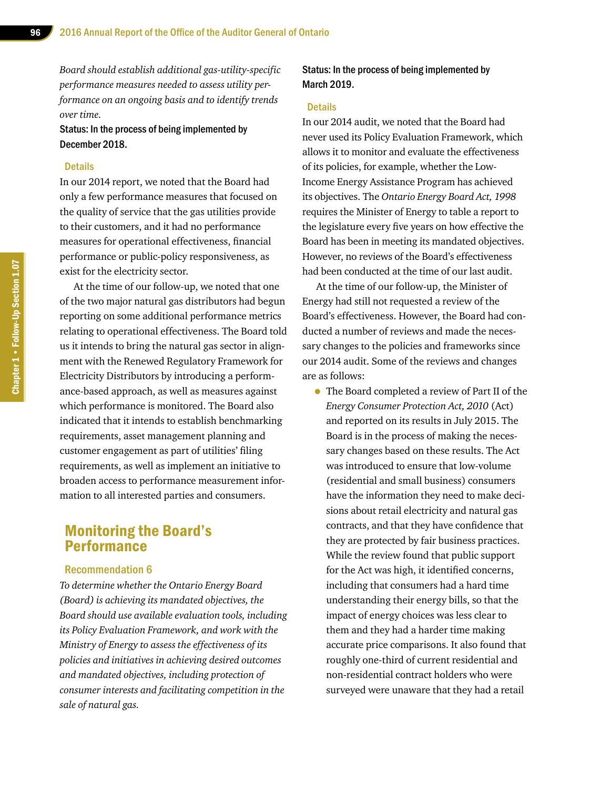*Board should establish additional gas-utility-specific performance measures needed to assess utility performance on an ongoing basis and to identify trends over time.*

Status: In the process of being implemented by December 2018.

#### **Details**

In our 2014 report, we noted that the Board had only a few performance measures that focused on the quality of service that the gas utilities provide to their customers, and it had no performance measures for operational effectiveness, financial performance or public-policy responsiveness, as exist for the electricity sector.

At the time of our follow-up, we noted that one of the two major natural gas distributors had begun reporting on some additional performance metrics relating to operational effectiveness. The Board told us it intends to bring the natural gas sector in alignment with the Renewed Regulatory Framework for Electricity Distributors by introducing a performance-based approach, as well as measures against which performance is monitored. The Board also indicated that it intends to establish benchmarking requirements, asset management planning and customer engagement as part of utilities' filing requirements, as well as implement an initiative to broaden access to performance measurement information to all interested parties and consumers.

### Monitoring the Board's **Performance**

#### Recommendation 6

*To determine whether the Ontario Energy Board (Board) is achieving its mandated objectives, the Board should use available evaluation tools, including its Policy Evaluation Framework, and work with the Ministry of Energy to assess the effectiveness of its policies and initiatives in achieving desired outcomes and mandated objectives, including protection of consumer interests and facilitating competition in the sale of natural gas.*

Status: In the process of being implemented by March 2019.

#### **Details**

In our 2014 audit, we noted that the Board had never used its Policy Evaluation Framework, which allows it to monitor and evaluate the effectiveness of its policies, for example, whether the Low-Income Energy Assistance Program has achieved its objectives. The *Ontario Energy Board Act, 1998* requires the Minister of Energy to table a report to the legislature every five years on how effective the Board has been in meeting its mandated objectives. However, no reviews of the Board's effectiveness had been conducted at the time of our last audit.

At the time of our follow-up, the Minister of Energy had still not requested a review of the Board's effectiveness. However, the Board had conducted a number of reviews and made the necessary changes to the policies and frameworks since our 2014 audit. Some of the reviews and changes are as follows:

• The Board completed a review of Part II of the *Energy Consumer Protection Act, 2010* (Act) and reported on its results in July 2015. The Board is in the process of making the necessary changes based on these results. The Act was introduced to ensure that low-volume (residential and small business) consumers have the information they need to make decisions about retail electricity and natural gas contracts, and that they have confidence that they are protected by fair business practices. While the review found that public support for the Act was high, it identified concerns, including that consumers had a hard time understanding their energy bills, so that the impact of energy choices was less clear to them and they had a harder time making accurate price comparisons. It also found that roughly one-third of current residential and non-residential contract holders who were surveyed were unaware that they had a retail